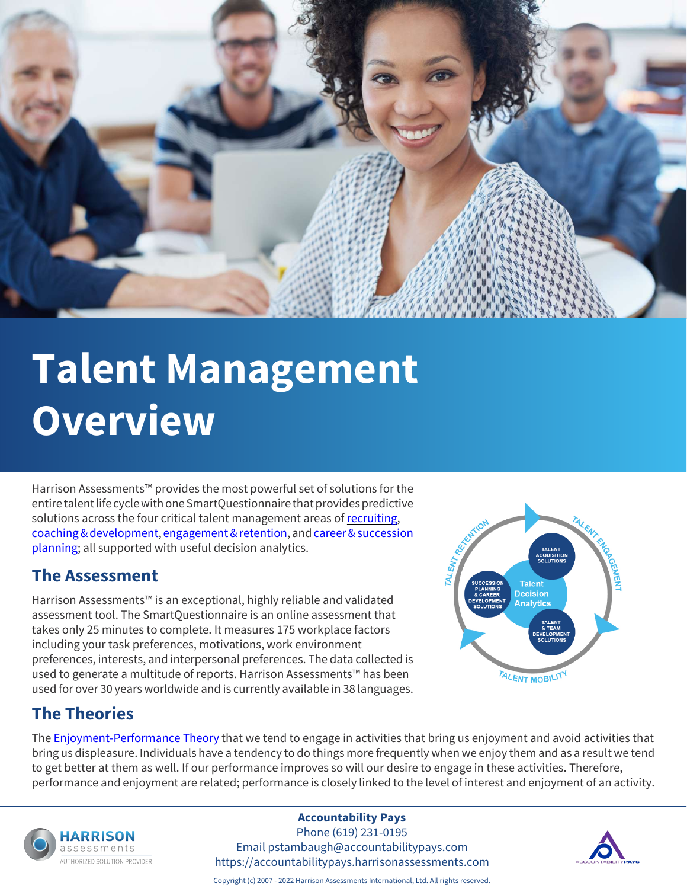

# **Talent Management Overview**

Harrison Assessments™ provides the most powerful set of solutions for the entire talent life cycle with one SmartQuestionnaire that provides predictive solutions across the four critical talent management areas of [recruiting](https://accountabilitypays.harrisonassessments.com/talent-acquisition.html), [coaching & development](https://accountabilitypays.harrisonassessments.com/talent-development.html), [engagement & retention](https://accountabilitypays.harrisonassessments.com/employee-engagement.html), and [career & succession](https://accountabilitypays.harrisonassessments.com/succession-planning.html) [planning](https://accountabilitypays.harrisonassessments.com/succession-planning.html); all supported with useful decision analytics.

#### **The Assessment**

Harrison Assessments™ is an exceptional, highly reliable and validated assessment tool. The SmartQuestionnaire is an online assessment that takes only 25 minutes to complete. It measures 175 workplace factors including your task preferences, motivations, work environment preferences, interests, and interpersonal preferences. The data collected is used to generate a multitude of reports. Harrison Assessments™ has been used for over 30 years worldwide and is currently available in 38 languages.



#### **The Theories**

The **[Enjoyment-Performance Theory](https://accountabilitypays.harrisonassessments.com/personality-testing.html)** that we tend to engage in activities that bring us enjoyment and avoid activities that bring us displeasure. Individuals have a tendency to do things more frequently when we enjoy them and as a result we tend to get better at them as well. If our performance improves so will our desire to engage in these activities. Therefore, performance and enjoyment are related; performance is closely linked to the level of interest and enjoyment of an activity.



#### **Accountability Pays**

Phone (619) 231-0195 Email pstambaugh@accountabilitypays.com https://accountabilitypays.harrisonassessments.com



Copyright (c) 2007 - 2022 Harrison Assessments International, Ltd. All rights reserved.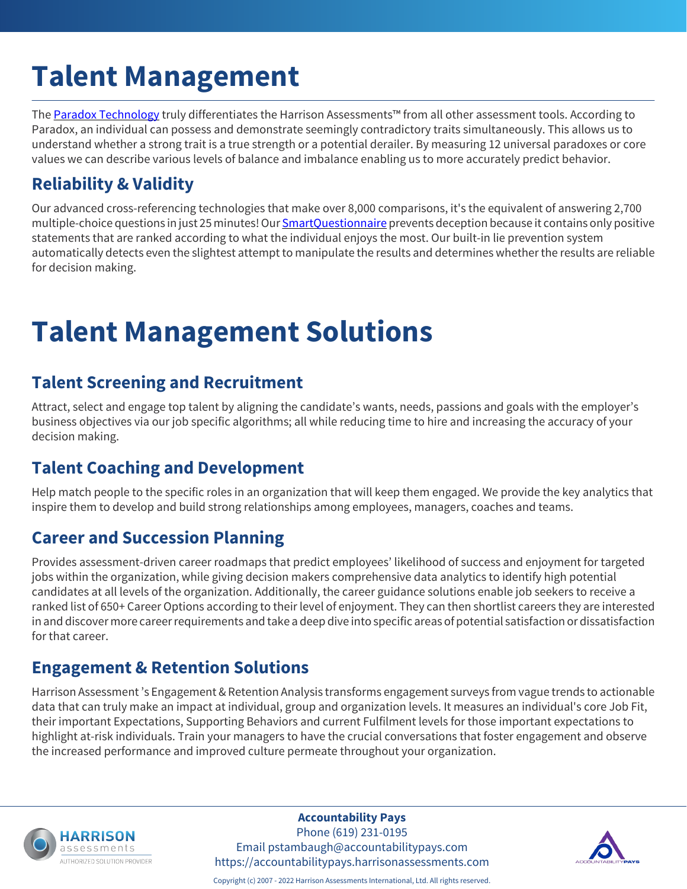## **Talent Management**

The [Paradox Technology](https://accountabilitypays.harrisonassessments.com/paradox-technology.html) truly differentiates the Harrison Assessments™ from all other assessment tools. According to Paradox, an individual can possess and demonstrate seemingly contradictory traits simultaneously. This allows us to understand whether a strong trait is a true strength or a potential derailer. By measuring 12 universal paradoxes or core values we can describe various levels of balance and imbalance enabling us to more accurately predict behavior.

### **Reliability & Validity**

Our advanced cross-referencing technologies that make over 8,000 comparisons, it's the equivalent of answering 2,700 multiple-choice questions in just 25 minutes! Our [SmartQuestionnaire](https://accountabilitypays.harrisonassessments.com/smart-questionnaire.html) prevents deception because it contains only positive statements that are ranked according to what the individual enjoys the most. Our built-in lie prevention system automatically detects even the slightest attempt to manipulate the results and determines whether the results are reliable for decision making.

### **Talent Management Solutions**

#### **Talent Screening and Recruitment**

Attract, select and engage top talent by aligning the candidate's wants, needs, passions and goals with the employer's business objectives via our job specific algorithms; all while reducing time to hire and increasing the accuracy of your decision making.

#### **Talent Coaching and Development**

Help match people to the specific roles in an organization that will keep them engaged. We provide the key analytics that inspire them to develop and build strong relationships among employees, managers, coaches and teams.

#### **Career and Succession Planning**

Provides assessment-driven career roadmaps that predict employees' likelihood of success and enjoyment for targeted jobs within the organization, while giving decision makers comprehensive data analytics to identify high potential candidates at all levels of the organization. Additionally, the career guidance solutions enable job seekers to receive a ranked list of 650+ Career Options according to their level of enjoyment. They can then shortlist careers they are interested in and discover more career requirements and take a deep dive into specific areas of potential satisfaction or dissatisfaction for that career.

### **Engagement & Retention Solutions**

Harrison Assessment 's Engagement & Retention Analysis transforms engagement surveys from vague trends to actionable data that can truly make an impact at individual, group and organization levels. It measures an individual's core Job Fit, their important Expectations, Supporting Behaviors and current Fulfilment levels for those important expectations to highlight at-risk individuals. Train your managers to have the crucial conversations that foster engagement and observe the increased performance and improved culture permeate throughout your organization.



**Accountability Pays**

Phone (619) 231-0195 Email pstambaugh@accountabilitypays.com https://accountabilitypays.harrisonassessments.com